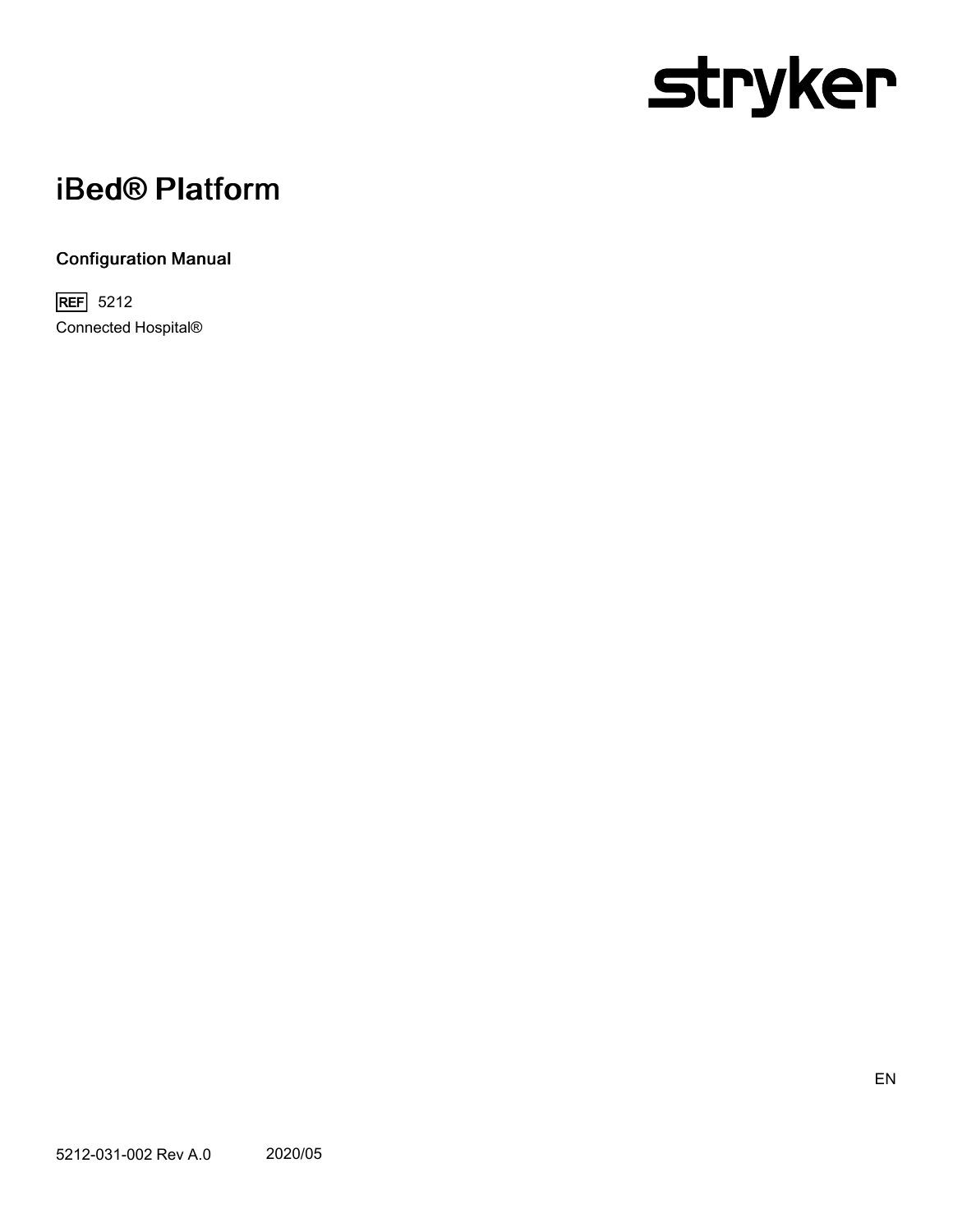# stryker

# iBed® Platform

### Configuration Manual

**REF** 5212 Connected Hospital®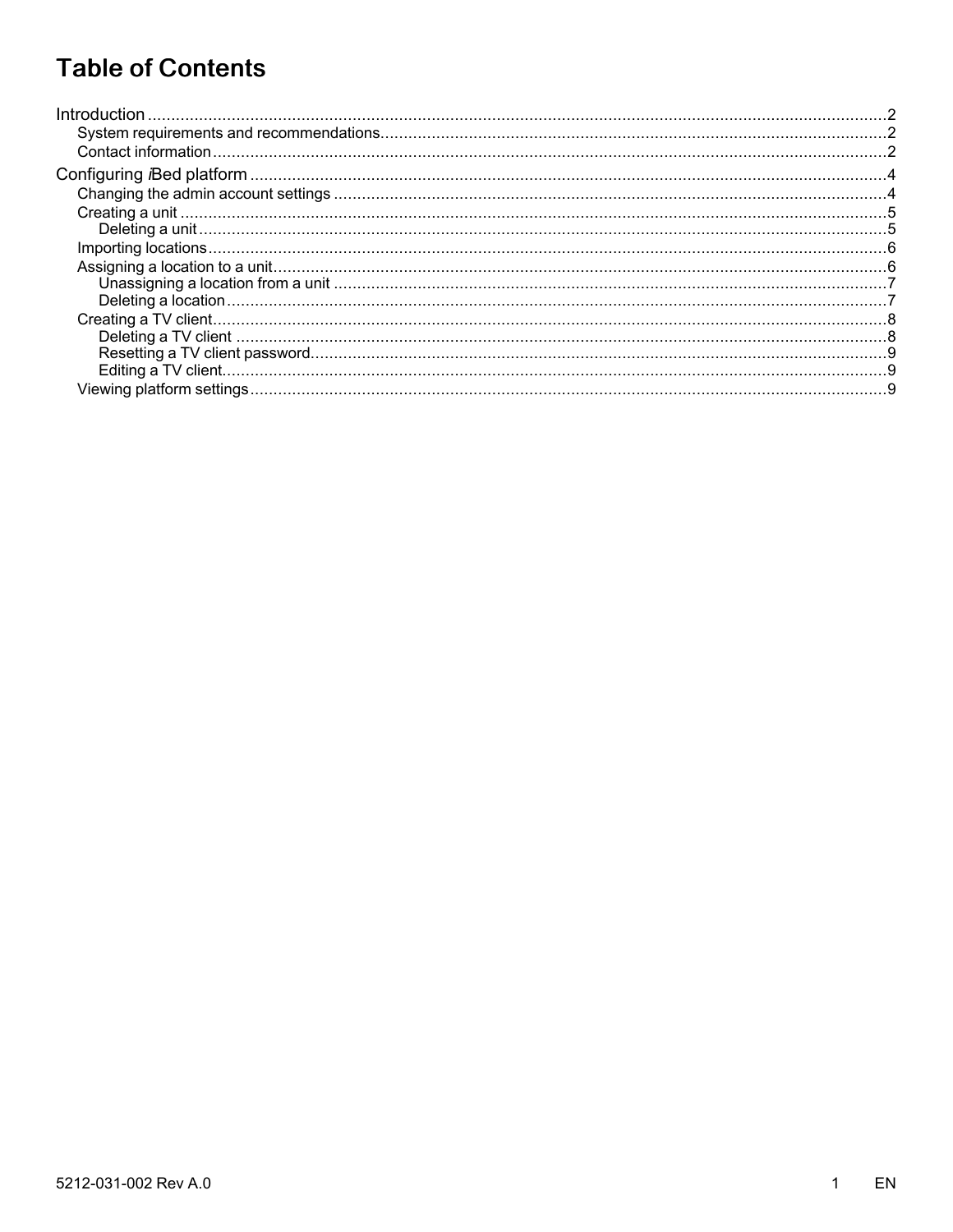# **Table of Contents**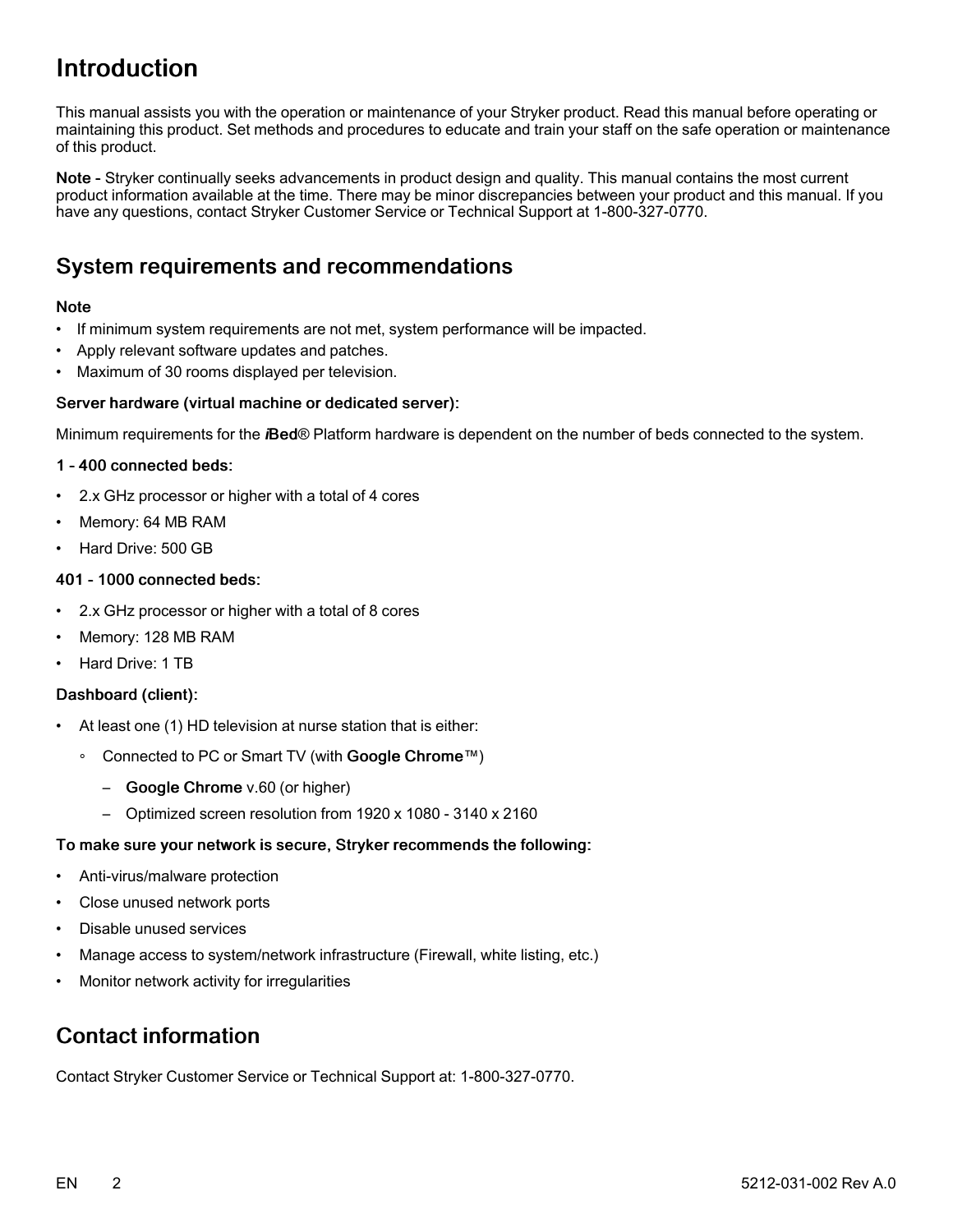# <span id="page-3-0"></span>Introduction

This manual assists you with the operation or maintenance of your Stryker product. Read this manual before operating or maintaining this product. Set methods and procedures to educate and train your staff on the safe operation or maintenance of this product.

Note - Stryker continually seeks advancements in product design and quality. This manual contains the most current product information available at the time. There may be minor discrepancies between your product and this manual. If you have any questions, contact Stryker Customer Service or Technical Support at 1-800-327-0770.

## <span id="page-3-1"></span>System requirements and recommendations

#### Note

- If minimum system requirements are not met, system performance will be impacted.
- Apply relevant software updates and patches.
- Maximum of 30 rooms displayed per television.

#### Server hardware (virtual machine or dedicated server):

Minimum requirements for the *i*Bed® Platform hardware is dependent on the number of beds connected to the system.

#### 1 - 400 connected beds:

- 2.x GHz processor or higher with a total of 4 cores
- Memory: 64 MB RAM
- Hard Drive: 500 GB

#### 401 - 1000 connected beds:

- 2.x GHz processor or higher with a total of 8 cores
- Memory: 128 MB RAM
- Hard Drive: 1 TB

#### Dashboard (client):

- At least one (1) HD television at nurse station that is either:
	- ∘ Connected to PC or Smart TV (with Google Chrome™)
		- Google Chrome v.60 (or higher)
		- Optimized screen resolution from 1920 x 1080 3140 x 2160

#### To make sure your network is secure, Stryker recommends the following:

- Anti-virus/malware protection
- Close unused network ports
- Disable unused services
- Manage access to system/network infrastructure (Firewall, white listing, etc.)
- Monitor network activity for irregularities

## <span id="page-3-2"></span>Contact information

Contact Stryker Customer Service or Technical Support at: 1-800-327-0770.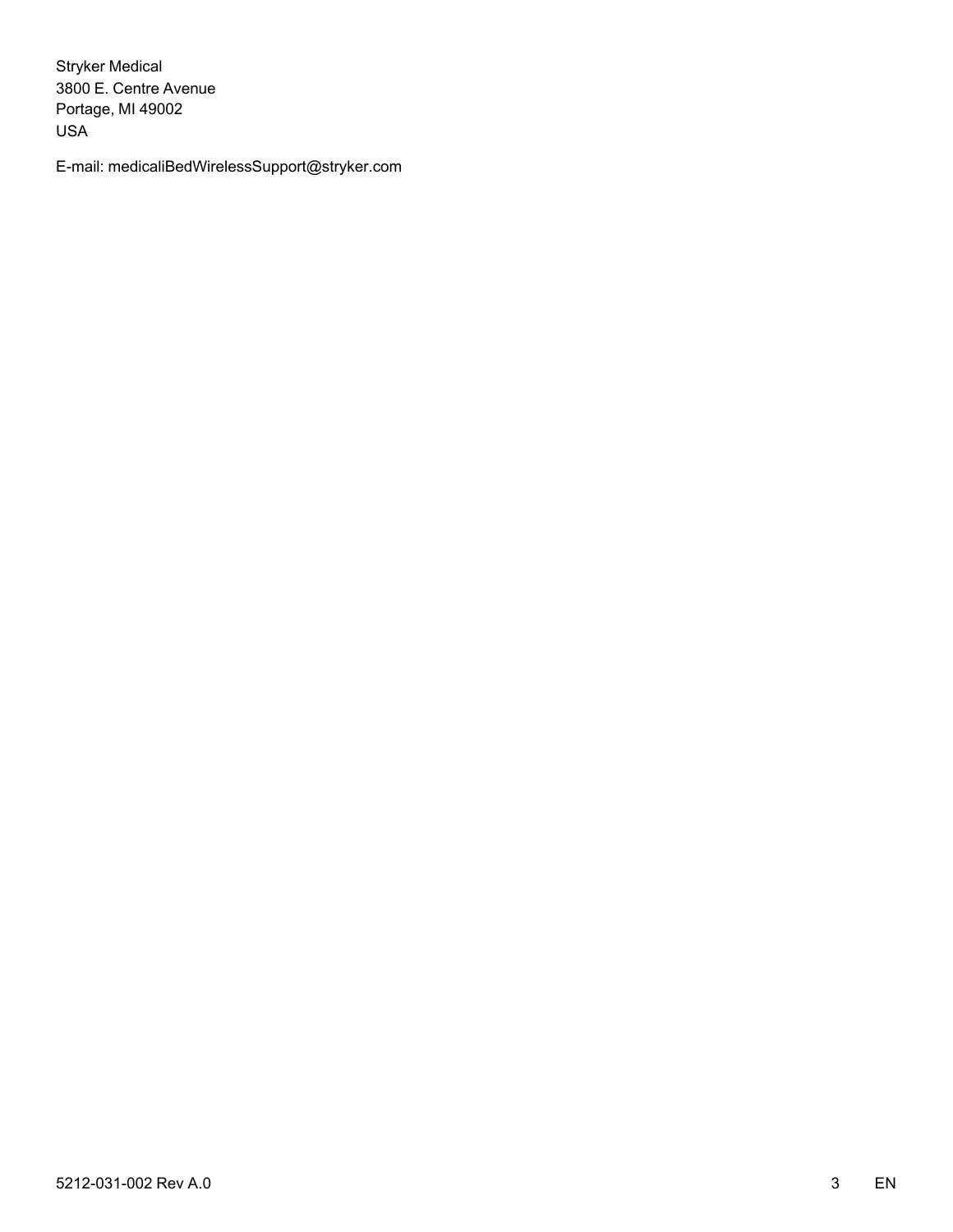Stryker Medical 3800 E. Centre Avenue Portage, MI 49002 USA

E-mail: medicaliBedWirelessSupport@stryker.com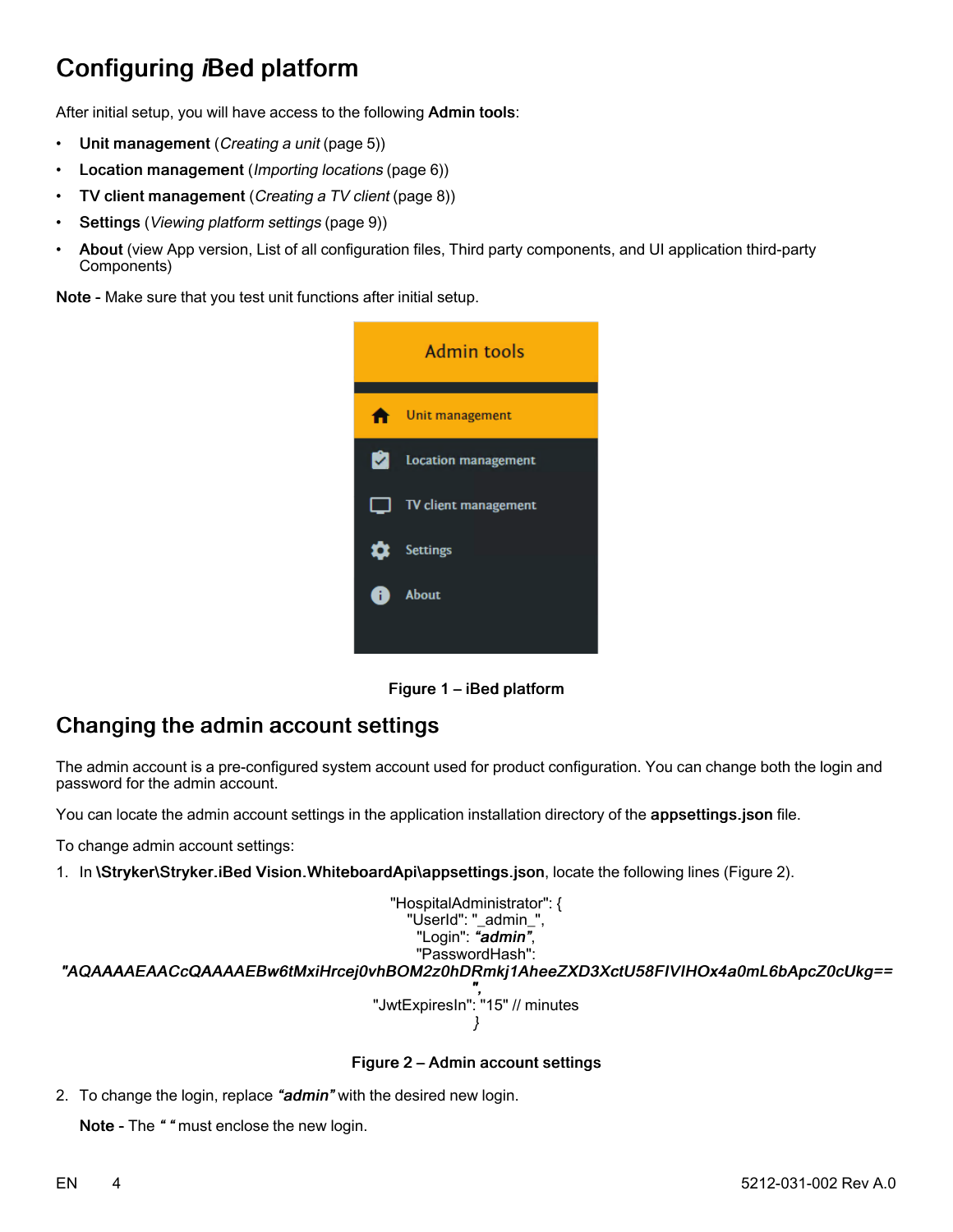# <span id="page-5-0"></span>Configuring iBed platform

After initial setup, you will have access to the following Admin tools:

- Unit management ([Creating](#page-6-0) a unit (page 5))
- Location management ([Importing](#page-7-0) locations (page 6))
- TV client management ([Creating](#page-9-0) <sup>a</sup> TV client (page 8))
- Settings (Viewing [platform](#page-10-2) settings (page 9))
- About (view App version, List of all configuration files, Third party components, and UI application third-party Components)

Note - Make sure that you test unit functions after initial setup.



Figure 1 – iBed platform

# <span id="page-5-1"></span>Changing the admin account settings

The admin account is a pre-configured system account used for product configuration. You can change both the login and password for the admin account.

You can locate the admin account settings in the application installation directory of the appsettings.json file.

To change admin account settings:

1. In \Stryker\Stryker.iBed Vision.WhiteboardApi\appsettings.json, locate the following lines [\(Figure](#page-5-2) 2).

<span id="page-5-2"></span>"HospitalAdministrator": { "UserId": "\_admin\_", "Login": "admin", "PasswordHash": "AQAAAAEAACcQAAAAEBw6tMxiHrcej0vhBOM2z0hDRmkj1AheeZXD3XctU58FIVIHOx4a0mL6bApcZ0cUkg== ", "JwtExpiresIn": "15" // minutes }

#### Figure 2 – Admin account settings

2. To change the login, replace "admin" with the desired new login.

Note - The "" must enclose the new login.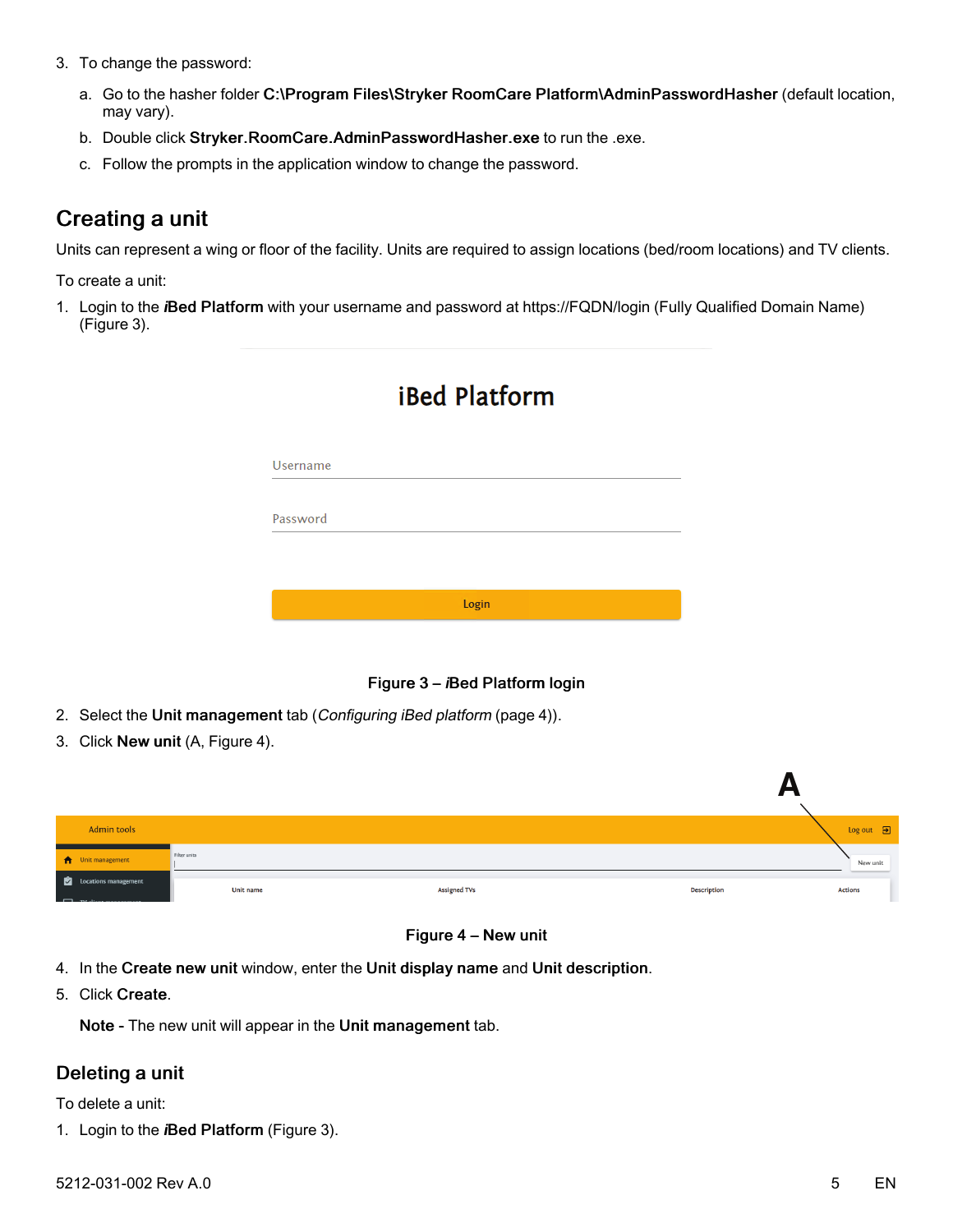- 3. To change the password:
	- a. Go to the hasher folder C:\Program Files\Stryker RoomCare Platform\AdminPasswordHasher (default location, may vary).
	- b. Double click Stryker.RoomCare.AdminPasswordHasher.exe to run the .exe.
	- c. Follow the prompts in the application window to change the password.

# <span id="page-6-0"></span>Creating a unit

Units can represent a wing or floor of the facility. Units are required to assign locations (bed/room locations) and TV clients.

To create a unit:

<span id="page-6-2"></span>1. Login to the iBed Platform with your username and password at https://FQDN/login (Fully Qualified Domain Name) [\(Figure](#page-6-2) 3).

| Username |       |  |  |
|----------|-------|--|--|
|          |       |  |  |
| Password |       |  |  |
|          |       |  |  |
|          |       |  |  |
|          | Login |  |  |

# **iBed Platform**

Figure 3 – iBed Platform login

- 2. Select the Unit management tab ([Configuring](#page-5-0) iBed platform (page 4)).
- 3. Click New unit (A, [Figure](#page-6-3) 4).

<span id="page-6-3"></span>

| Admin tools              |                  |                     | $Log out$ $\Box$                     |
|--------------------------|------------------|---------------------|--------------------------------------|
| <b>A</b> Unit management | Filter units     |                     | New unit                             |
| Locations management     | <b>Unit name</b> | <b>Assigned TVs</b> | <b>Description</b><br><b>Actions</b> |



- 4. In the Create new unit window, enter the Unit display name and Unit description.
- 5. Click Create.

Note - The new unit will appear in the Unit management tab.

#### <span id="page-6-1"></span>Deleting a unit

To delete a unit:

1. Login to the *i*Bed Platform [\(Figure](#page-6-2) 3).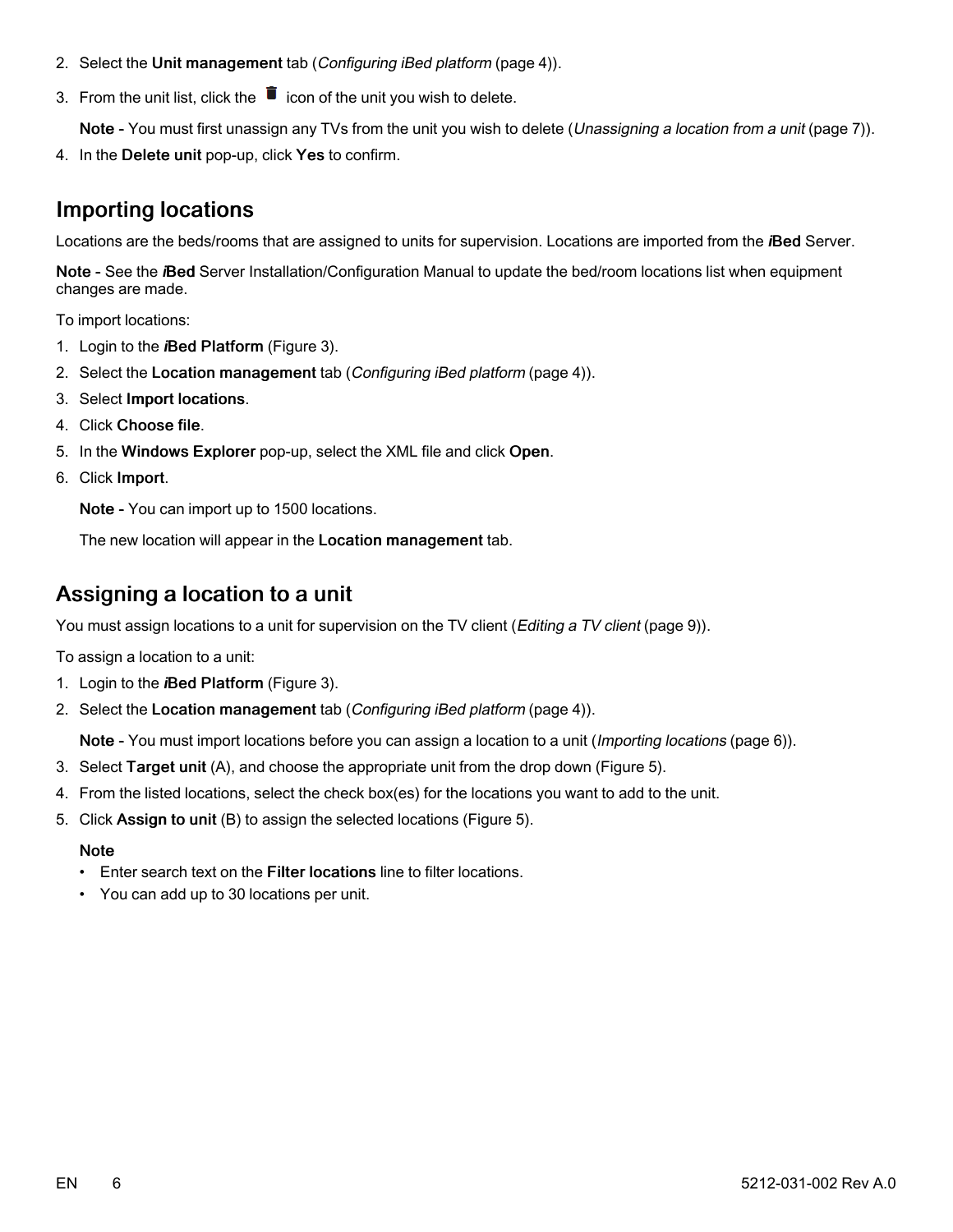- 2. Select the Unit management tab ([Configuring](#page-5-0) iBed platform (page 4)).
- 3. From the unit list, click the  $\overline{\bullet}$  icon of the unit you wish to delete.

Note - You must first unassign any TVs from the unit you wish to delete ([Unassigning](#page-8-0) a location from a unit (page 7)).

4. In the Delete unit pop-up, click Yes to confirm.

## <span id="page-7-0"></span>Importing locations

Locations are the beds/rooms that are assigned to units for supervision. Locations are imported from the iBed Server.

Note - See the *i*Bed Server Installation/Configuration Manual to update the bed/room locations list when equipment changes are made.

To import locations:

- 1. Login to the *i*Bed Platform [\(Figure](#page-6-2) 3).
- 2. Select the Location management tab ([Configuring](#page-5-0) iBed platform (page 4)).
- 3. Select Import locations.
- 4. Click Choose file.
- 5. In the Windows Explorer pop-up, select the XML file and click Open.
- 6. Click Import.

Note - You can import up to 1500 locations.

The new location will appear in the Location management tab.

## <span id="page-7-1"></span>Assigning a location to a unit

You must assign locations to a unit for supervision on the TV client ([Editing](#page-10-1) a TV client (page 9)).

To assign a location to a unit:

- 1. Login to the *i*Bed Platform [\(Figure](#page-6-2) 3).
- 2. Select the Location management tab ([Configuring](#page-5-0) iBed platform (page 4)).

Note - You must import locations before you can assign a location to a unit ([Importing](#page-7-0) locations (page 6)).

- 3. Select Target unit (A), and choose the appropriate unit from the drop down [\(Figure](#page-8-2) 5).
- 4. From the listed locations, select the check box(es) for the locations you want to add to the unit.
- 5. Click Assign to unit (B) to assign the selected locations ([Figure](#page-8-2) 5).

#### **Note**

- Enter search text on the Filter locations line to filter locations.
- You can add up to 30 locations per unit.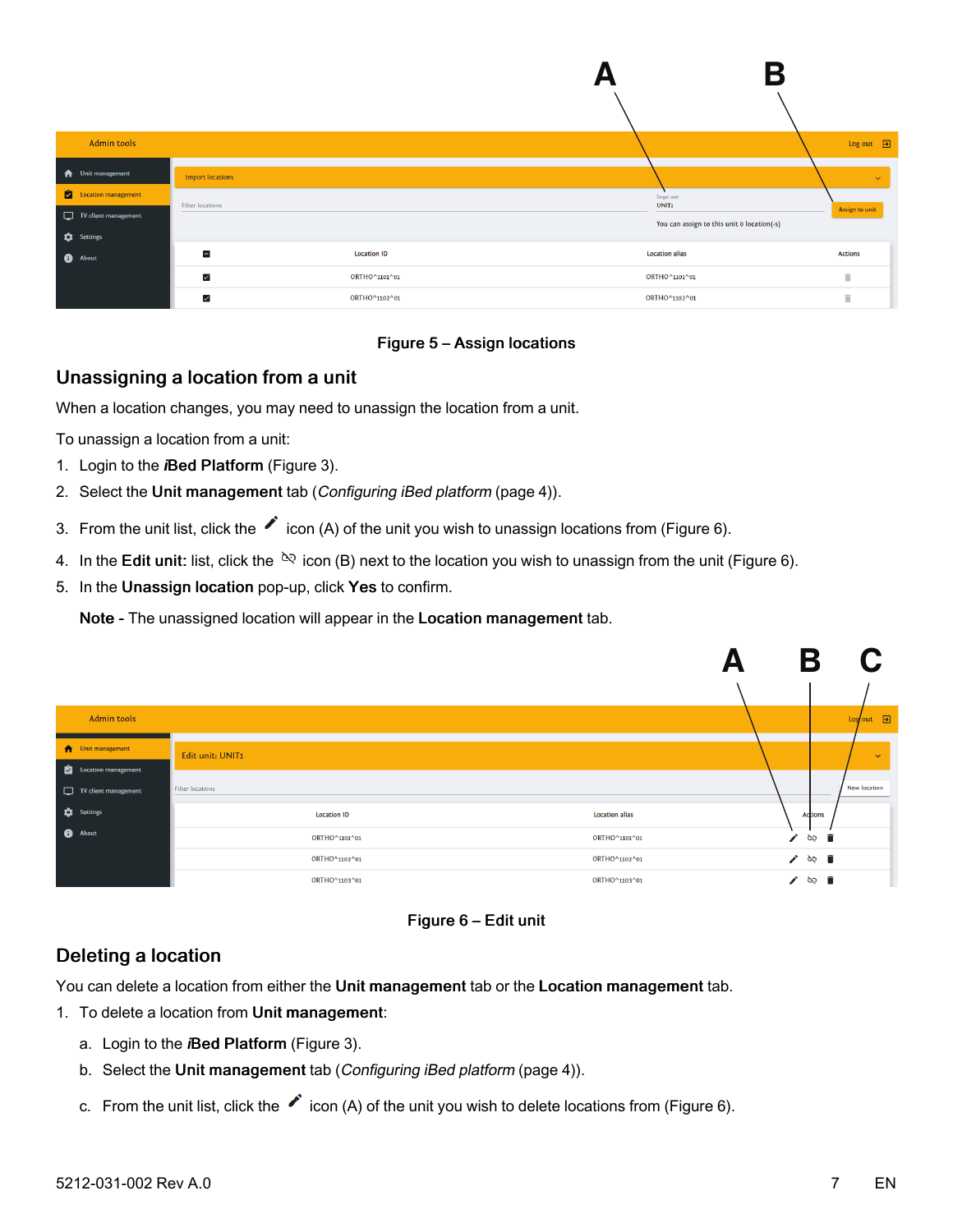<span id="page-8-2"></span>

| Admin tools              |                         |                    |                                            | $Log out$ $\Box$ |
|--------------------------|-------------------------|--------------------|--------------------------------------------|------------------|
| <b>A</b> Unit management | <b>Import locations</b> |                    |                                            | $\checkmark$     |
| Location management      | <b>Filter locations</b> |                    | Target unit<br>UNIT <sub>1</sub>           | Assign to unit   |
| TV client management     |                         |                    | You can assign to this unit 0 location(-s) |                  |
| <b>C</b> Settings        | Е                       | <b>Location ID</b> | <b>Location alias</b>                      | <b>Actions</b>   |
| <b>O</b> About           |                         |                    |                                            |                  |
|                          | $\checkmark$            | ORTHO^1101^01      | ORTHO^1101^01                              | î                |
|                          | $\checkmark$            | ORTHO^1102^01      | ORTHO^1102^01                              | î                |

#### Figure 5 – Assign locations

#### <span id="page-8-0"></span>Unassigning a location from a unit

When a location changes, you may need to unassign the location from a unit.

To unassign a location from a unit:

- 1. Login to the *i*Bed Platform [\(Figure](#page-6-2) 3).
- 2. Select the Unit management tab ([Configuring](#page-5-0) iBed platform (page 4)).
- 3. From the unit list, click the  $\bullet$  icon (A) of the unit you wish to unassign locations from [\(Figure](#page-8-3) 6).
- 4. In the Edit unit: list, click the  $e^{i\phi}$  icon (B) next to the location you wish to unassign from the unit [\(Figure](#page-8-3) 6).
- 5. In the Unassign location pop-up, click Yes to confirm.

Note - The unassigned location will appear in the Location management tab.

<span id="page-8-3"></span>

| Admin tools          |                    |                       |                       | $Logout$ $\Box$ |
|----------------------|--------------------|-----------------------|-----------------------|-----------------|
| Unit management      | Edit unit: UNIT1   |                       |                       | $\checkmark$    |
| Location management  |                    |                       |                       |                 |
| TV client management | Filter locations   |                       |                       | New location    |
| <b>C</b> Settings    | <b>Location ID</b> | <b>Location alias</b> | <b>Actions</b>        |                 |
| <b>O</b> About       | ORTHO^1101^01      | ORTHO^1101^01         | $\mathcal{L}$<br>১২ ∎ |                 |
|                      | ORTHO^1102^01      | ORTHO^1102^01         | / ⊗ ■                 |                 |
|                      | ORTHO^1103^01      | ORTHO^1103^01         | $\gamma \approx 1$    |                 |



#### <span id="page-8-1"></span>Deleting a location

You can delete a location from either the Unit management tab or the Location management tab.

- 1. To delete a location from Unit management:
	- a. Login to the *i*Bed Platform [\(Figure](#page-6-2) 3).
	- b. Select the Unit management tab ([Configuring](#page-5-0) iBed platform (page 4)).
	- c. From the unit list, click the  $\bullet$  icon (A) of the unit you wish to delete locations from [\(Figure](#page-8-3) 6).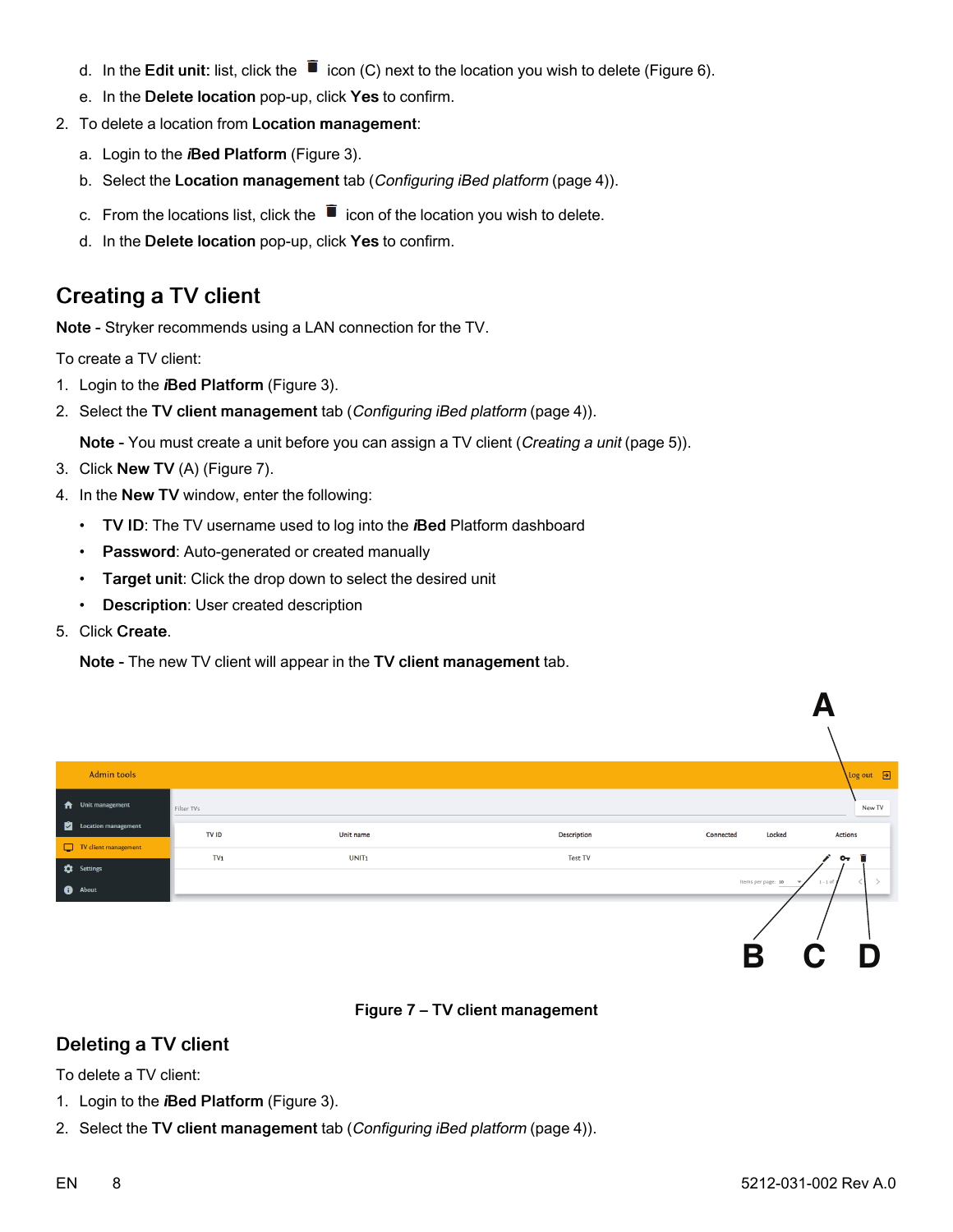- d. In the Edit unit: list, click the  $\blacksquare$  icon (C) next to the location you wish to delete [\(Figure](#page-8-3) 6).
- e. In the Delete location pop-up, click Yes to confirm.
- 2. To delete a location from Location management:
	- a. Login to the *i*Bed Platform [\(Figure](#page-6-2) 3).
	- b. Select the Location management tab ([Configuring](#page-5-0) iBed platform (page 4)).
	- c. From the locations list, click the  $\blacksquare$  icon of the location you wish to delete.
	- d. In the Delete location pop-up, click Yes to confirm.

# <span id="page-9-0"></span>Creating a TV client

Note - Stryker recommends using a LAN connection for the TV.

To create a TV client:

- 1. Login to the *i*Bed Platform [\(Figure](#page-6-2) 3).
- 2. Select the TV client management tab ([Configuring](#page-5-0) iBed platform (page 4)).

Note - You must create a unit before you can assign a TV client ([Creating](#page-6-0) a unit (page 5)).

- 3. Click New TV (A) ([Figure](#page-9-2) 7).
- 4. In the New TV window, enter the following:
	- TV ID: The TV username used to log into the *i*Bed Platform dashboard
	- Password: Auto-generated or created manually
	- Target unit: Click the drop down to select the desired unit
	- Description: User created description
- 5. Click Create.

Note - The new TV client will appear in the TV client management tab.

<span id="page-9-2"></span>

|                 |                   |                    |                                                | Log out <sub>3</sub>               |
|-----------------|-------------------|--------------------|------------------------------------------------|------------------------------------|
| Filter TVs      |                   |                    |                                                | New TV                             |
| TV ID           | Unit name         | <b>Description</b> | Locked<br>Connected                            | <b>Actions</b>                     |
| $\mathsf{TV}_1$ | UNIT <sub>1</sub> | <b>Test TV</b>     |                                                | $O_T$ $\qquad \qquad \blacksquare$ |
|                 |                   |                    | Items per page: 10<br>$\overline{\phantom{a}}$ | $1 - 1$ of 1                       |
|                 |                   |                    |                                                |                                    |
|                 |                   |                    |                                                |                                    |
|                 |                   |                    |                                                | D<br>$\mathbf C$                   |
|                 |                   |                    |                                                | R                                  |



### <span id="page-9-1"></span>Deleting a TV client

To delete a TV client:

- 1. Login to the *i*Bed Platform [\(Figure](#page-6-2) 3).
- 2. Select the TV client management tab ([Configuring](#page-5-0) iBed platform (page 4)).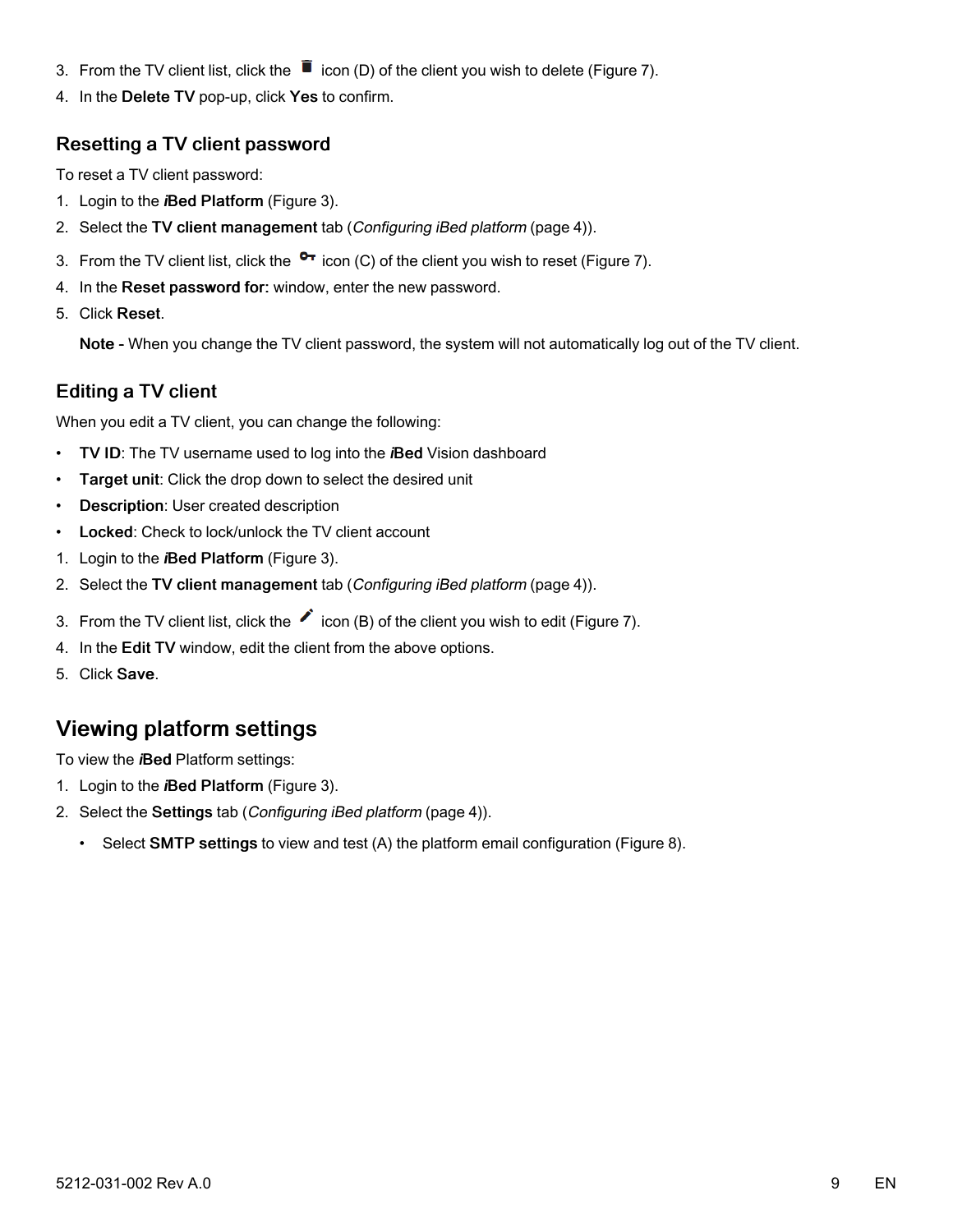- 3. From the TV client list, click the  $\bar{\mathbb{I}}$  icon (D) of the client you wish to delete [\(Figure](#page-9-2) 7).
- 4. In the Delete TV pop-up, click Yes to confirm.

#### <span id="page-10-0"></span>Resetting a TV client password

To reset a TV client password:

- 1. Login to the *i*Bed Platform [\(Figure](#page-6-2) 3).
- 2. Select the TV client management tab ([Configuring](#page-5-0) iBed platform (page 4)).
- 3. From the TV client list, click the  $\bullet\bullet$  icon (C) of the client you wish to reset ([Figure](#page-9-2) 7).
- 4. In the Reset password for: window, enter the new password.
- 5. Click Reset.

Note - When you change the TV client password, the system will not automatically log out of the TV client.

#### <span id="page-10-1"></span>Editing a TV client

When you edit a TV client, you can change the following:

- TV ID: The TV username used to log into the *i*Bed Vision dashboard
- Target unit: Click the drop down to select the desired unit
- Description: User created description
- Locked: Check to lock/unlock the TV client account
- 1. Login to the *i*Bed Platform [\(Figure](#page-6-2) 3).
- 2. Select the TV client management tab ([Configuring](#page-5-0) iBed platform (page 4)).
- 3. From the TV client list, click the  $\bullet$  icon (B) of the client you wish to edit ([Figure](#page-9-2) 7).
- 4. In the Edit TV window, edit the client from the above options.
- 5. Click Save.

# <span id="page-10-2"></span>Viewing platform settings

To view the *i*Bed Platform settings:

- 1. Login to the *i*Bed Platform [\(Figure](#page-6-2) 3).
- 2. Select the Settings tab ([Configuring](#page-5-0) iBed platform (page 4)).
	- Select SMTP settings to view and test (A) the platform email configuration ([Figure](#page-11-0) 8).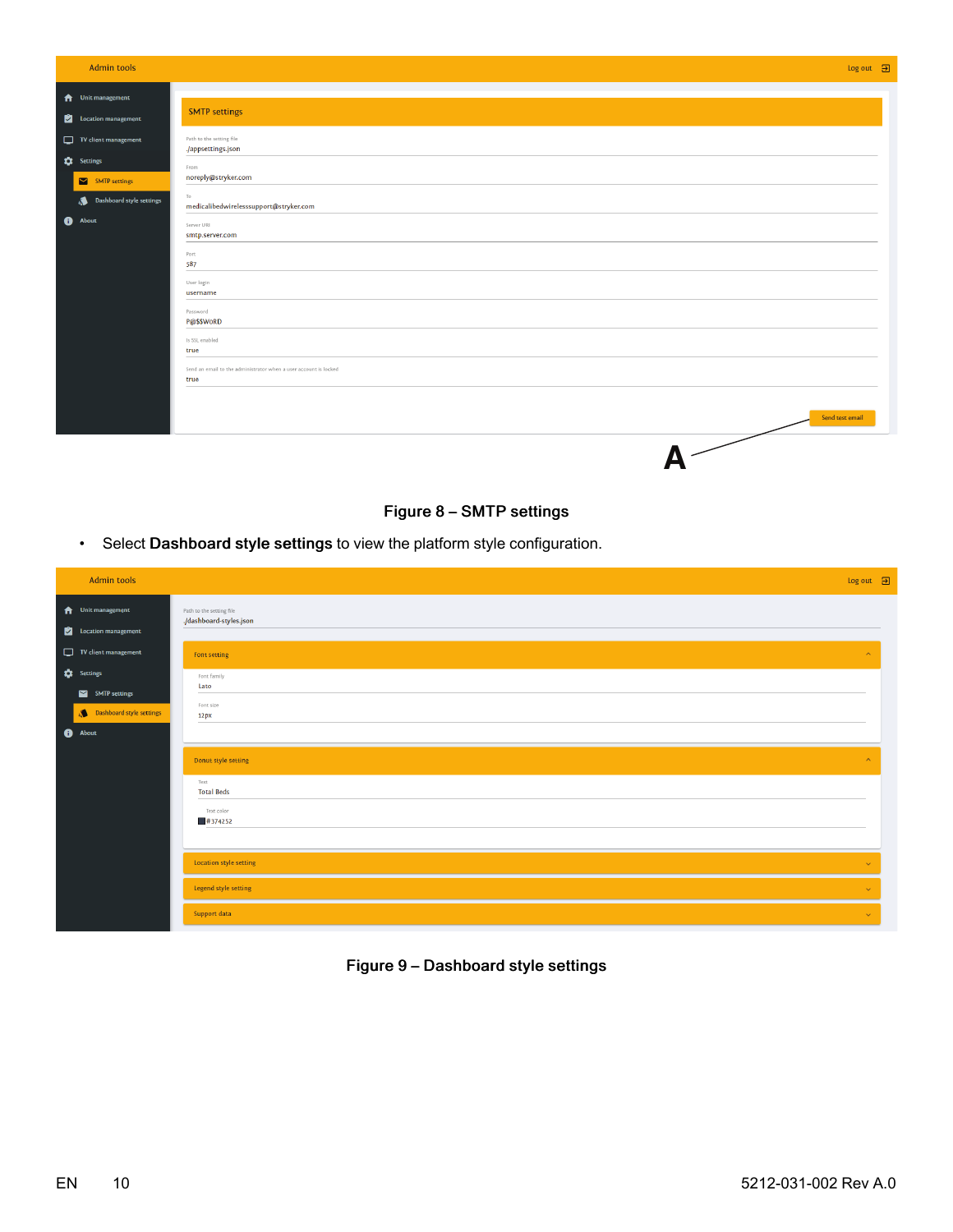<span id="page-11-0"></span>

| <b>Admin tools</b>                               |                                                                          | $Log out$ $\Box$ |
|--------------------------------------------------|--------------------------------------------------------------------------|------------------|
| <b>A</b> Unit management<br>Location management  | <b>SMTP settings</b>                                                     |                  |
| $\Box$ TV client management<br><b>C</b> Settings | Path to the setting file<br>./appsettings.json<br>From                   |                  |
| SMTP settings<br>Dashboard style settings        | noreply@stryker.com<br>To<br>medicalibedwirelesssupport@stryker.com      |                  |
| <b>O</b> About                                   | Server URI<br>smtp.server.com<br>Port<br>587                             |                  |
|                                                  | User login<br>username<br>Password                                       |                  |
|                                                  | P@\$\$WoRD<br>Is SSL enabled<br>true                                     |                  |
|                                                  | Send an email to the administrator when a user account is locked<br>true |                  |
|                                                  | Send test email                                                          |                  |
|                                                  |                                                                          |                  |

#### Figure 8 – SMTP settings

• Select Dashboard style settings to view the platform style configuration.

| <b>Admin tools</b>                                             |                                                     | $Log out$ $\Box$      |
|----------------------------------------------------------------|-----------------------------------------------------|-----------------------|
| <b>f</b> Unit management<br>Location management                | Path to the setting file<br>./dashboard-styles.json |                       |
| $\Box$ TV client management                                    | Font setting                                        | $\curvearrowright$    |
| <b>C</b> Settings<br>SMTP settings<br>Dashboard style settings | Font family<br>Lato<br>Font size<br>12px            |                       |
| <b>O</b> About                                                 |                                                     |                       |
|                                                                | Donut style setting                                 | $\boldsymbol{\wedge}$ |
|                                                                | Text<br><b>Total Beds</b>                           |                       |
|                                                                | Text color<br>$\frac{1}{2}$ #374252                 |                       |
|                                                                | Location style setting                              | $\checkmark$          |
|                                                                | Legend style setting                                | $\sim$                |
|                                                                | Support data                                        | $\checkmark$          |

#### Figure 9 – Dashboard style settings